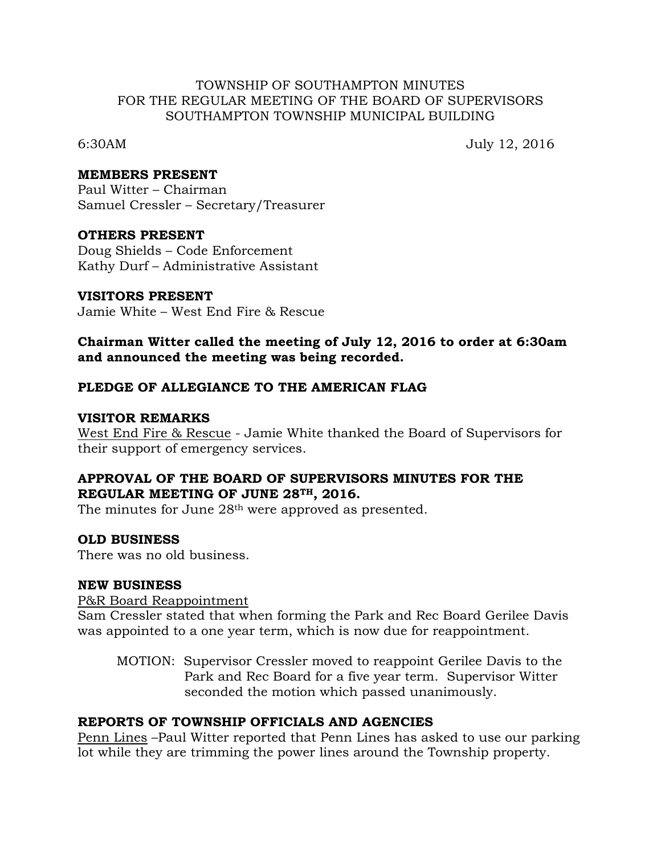### TOWNSHIP OF SOUTHAMPTON MINUTES FOR THE REGULAR MEETING OF THE BOARD OF SUPERVISORS SOUTHAMPTON TOWNSHIP MUNICIPAL BUILDING

6:30AM July 12, 2016

#### **MEMBERS PRESENT**

Paul Witter – Chairman Samuel Cressler – Secretary/Treasurer

#### **OTHERS PRESENT**

Doug Shields – Code Enforcement Kathy Durf – Administrative Assistant

#### **VISITORS PRESENT**

Jamie White – West End Fire & Rescue

## **Chairman Witter called the meeting of July 12, 2016 to order at 6:30am and announced the meeting was being recorded.**

## **PLEDGE OF ALLEGIANCE TO THE AMERICAN FLAG**

#### **VISITOR REMARKS**

West End Fire & Rescue - Jamie White thanked the Board of Supervisors for their support of emergency services.

## **APPROVAL OF THE BOARD OF SUPERVISORS MINUTES FOR THE REGULAR MEETING OF JUNE 28TH, 2016.**

The minutes for June 28<sup>th</sup> were approved as presented.

## **OLD BUSINESS**

There was no old business.

## **NEW BUSINESS**

P&R Board Reappointment

Sam Cressler stated that when forming the Park and Rec Board Gerilee Davis was appointed to a one year term, which is now due for reappointment.

MOTION: Supervisor Cressler moved to reappoint Gerilee Davis to the Park and Rec Board for a five year term. Supervisor Witter seconded the motion which passed unanimously.

## **REPORTS OF TOWNSHIP OFFICIALS AND AGENCIES**

Penn Lines –Paul Witter reported that Penn Lines has asked to use our parking lot while they are trimming the power lines around the Township property.